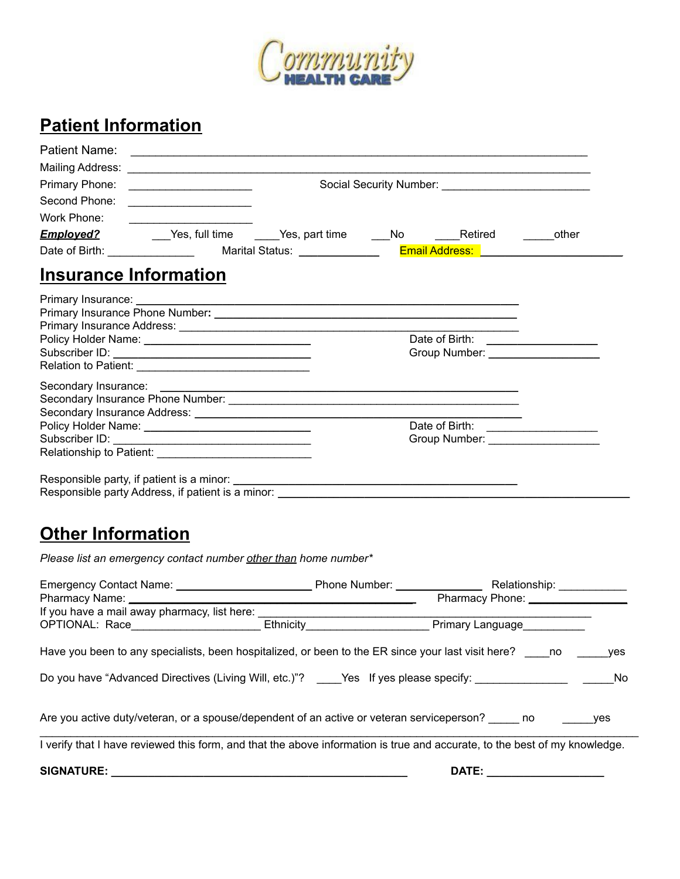

### **Patient Information**

| Patient Name:                |                                                                                                                                                                                                                                  |                                    |       |
|------------------------------|----------------------------------------------------------------------------------------------------------------------------------------------------------------------------------------------------------------------------------|------------------------------------|-------|
|                              |                                                                                                                                                                                                                                  |                                    |       |
| Primary Phone:               |                                                                                                                                                                                                                                  |                                    |       |
| Second Phone:                |                                                                                                                                                                                                                                  |                                    |       |
| Work Phone:                  |                                                                                                                                                                                                                                  |                                    |       |
|                              | <b>Employed?</b> Government Channer Construction Channer Channer Channer Channer Channer Channer Channer Channer Channer Channer Channer Channer Channer Channer Channer Channer Channer Channer Channer Channer Channer Channer |                                    | other |
|                              | Date of Birth: __________________  Marital Status: ______________ <mark>Email Address: _____________________</mark>                                                                                                              |                                    |       |
| <b>Insurance Information</b> |                                                                                                                                                                                                                                  |                                    |       |
|                              |                                                                                                                                                                                                                                  |                                    |       |
|                              |                                                                                                                                                                                                                                  |                                    |       |
|                              |                                                                                                                                                                                                                                  |                                    |       |
|                              |                                                                                                                                                                                                                                  |                                    |       |
|                              |                                                                                                                                                                                                                                  |                                    |       |
|                              |                                                                                                                                                                                                                                  |                                    |       |
|                              |                                                                                                                                                                                                                                  |                                    |       |
|                              |                                                                                                                                                                                                                                  |                                    |       |
|                              |                                                                                                                                                                                                                                  |                                    |       |
|                              |                                                                                                                                                                                                                                  |                                    |       |
|                              |                                                                                                                                                                                                                                  | Group Number: ____________________ |       |
|                              |                                                                                                                                                                                                                                  |                                    |       |
|                              |                                                                                                                                                                                                                                  |                                    |       |
|                              |                                                                                                                                                                                                                                  |                                    |       |

#### **Other Information**

*Please list an emergency contact number other than home number\**

|                                                                                                                            |              | Relationship: _____________<br>Pharmacy Phone: 2008 |            |
|----------------------------------------------------------------------------------------------------------------------------|--------------|-----------------------------------------------------|------------|
| If you have a mail away pharmacy, list here:                                                                               |              | Primary Language                                    |            |
| Have you been to any specialists, been hospitalized, or been to the ER since your last visit here? ho                      |              |                                                     | ves        |
| Do you have "Advanced Directives (Living Will, etc.)"? ____Yes If yes please specify: _____________                        |              |                                                     | No.        |
| Are you active duty/veteran, or a spouse/dependent of an active or veteran serviceperson? ______ no                        |              |                                                     | <b>ves</b> |
| I verify that I have reviewed this form, and that the above information is true and accurate, to the best of my knowledge. |              |                                                     |            |
| <b>SIGNATURE:</b>                                                                                                          | <b>DATE:</b> |                                                     |            |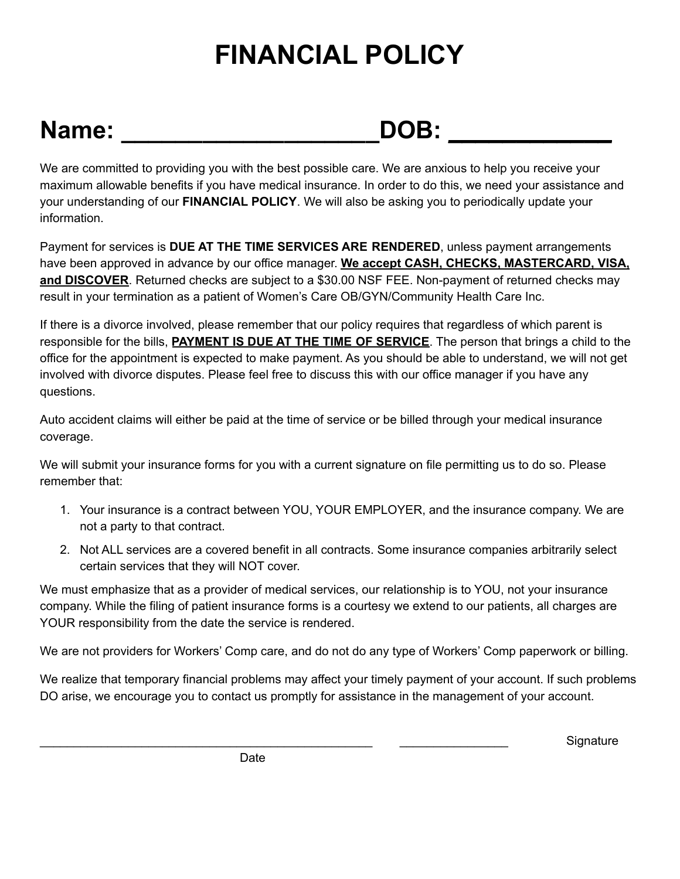## **FINANCIAL POLICY**

## Name: \_\_\_\_\_\_\_\_\_\_\_\_\_\_\_\_\_\_\_\_\_\_\_\_DOB: \_\_\_\_\_\_\_\_\_\_\_\_\_\_

We are committed to providing you with the best possible care. We are anxious to help you receive your maximum allowable benefits if you have medical insurance. In order to do this, we need your assistance and your understanding of our **FINANCIAL POLICY**. We will also be asking you to periodically update your information.

Payment for services is **DUE AT THE TIME SERVICES ARE RENDERED**, unless payment arrangements have been approved in advance by our office manager. **We accept CASH, CHECKS, MASTERCARD, VISA, and DISCOVER**. Returned checks are subject to a \$30.00 NSF FEE. Non-payment of returned checks may result in your termination as a patient of Women's Care OB/GYN/Community Health Care Inc.

If there is a divorce involved, please remember that our policy requires that regardless of which parent is responsible for the bills, **PAYMENT IS DUE AT THE TIME OF SERVICE**. The person that brings a child to the office for the appointment is expected to make payment. As you should be able to understand, we will not get involved with divorce disputes. Please feel free to discuss this with our office manager if you have any questions.

Auto accident claims will either be paid at the time of service or be billed through your medical insurance coverage.

We will submit your insurance forms for you with a current signature on file permitting us to do so. Please remember that:

- 1. Your insurance is a contract between YOU, YOUR EMPLOYER, and the insurance company. We are not a party to that contract.
- 2. Not ALL services are a covered benefit in all contracts. Some insurance companies arbitrarily select certain services that they will NOT cover.

We must emphasize that as a provider of medical services, our relationship is to YOU, not your insurance company. While the filing of patient insurance forms is a courtesy we extend to our patients, all charges are YOUR responsibility from the date the service is rendered.

We are not providers for Workers' Comp care, and do not do any type of Workers' Comp paperwork or billing.

We realize that temporary financial problems may affect your timely payment of your account. If such problems DO arise, we encourage you to contact us promptly for assistance in the management of your account.

\_\_\_\_\_\_\_\_\_\_\_\_\_\_\_\_\_\_\_\_\_\_\_\_\_\_\_\_\_\_\_\_\_\_\_\_\_\_\_\_\_\_\_\_\_\_\_\_\_ \_\_\_\_\_\_\_\_\_\_\_\_\_\_\_\_ Signature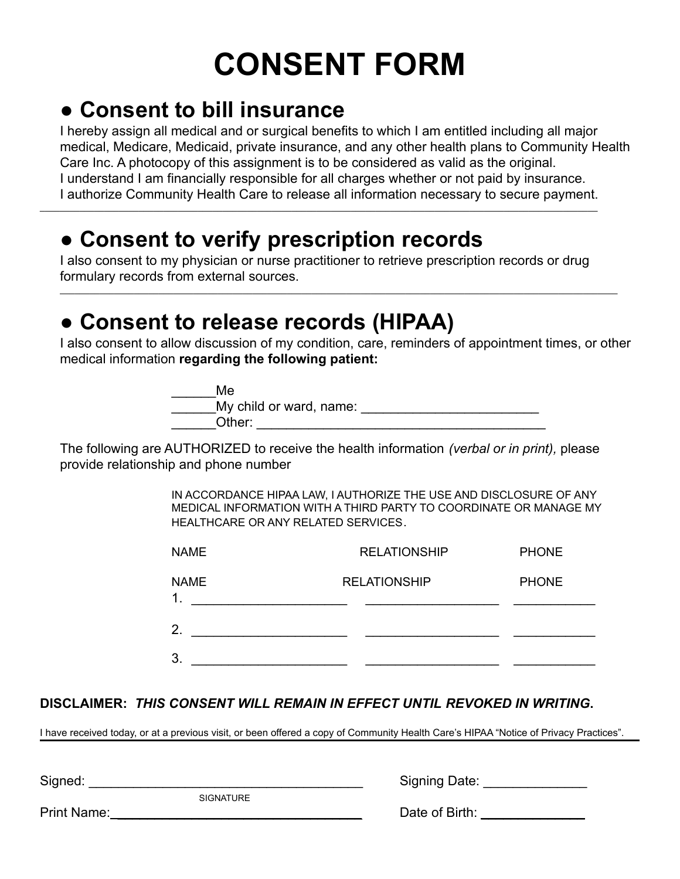# **CONSENT FORM**

## ● **Consent to bill insurance**

I hereby assign all medical and or surgical benefits to which I am entitled including all major medical, Medicare, Medicaid, private insurance, and any other health plans to Community Health Care Inc. A photocopy of this assignment is to be considered as valid as the original. I understand I am financially responsible for all charges whether or not paid by insurance. I authorize Community Health Care to release all information necessary to secure payment.

## ● **Consent to verify prescription records**

I also consent to my physician or nurse practitioner to retrieve prescription records or drug formulary records from external sources.

\_\_\_\_\_\_\_\_\_\_\_\_\_\_\_\_\_\_\_\_\_\_\_\_\_\_\_\_\_\_\_\_\_\_\_\_\_\_\_\_\_\_\_\_\_\_\_\_\_\_\_\_\_\_\_\_\_\_\_\_\_\_\_\_\_\_\_\_\_\_\_\_\_\_\_\_\_\_\_\_\_\_\_\_\_\_\_\_\_\_\_\_\_\_\_\_\_\_\_\_\_\_\_\_\_\_\_\_\_\_\_\_\_

\_\_\_\_\_\_\_\_\_\_\_\_\_\_\_\_\_\_\_\_\_\_\_\_\_\_\_\_\_\_\_\_\_\_\_\_\_\_\_\_\_\_\_\_\_\_\_\_\_\_\_\_\_\_\_\_\_\_\_\_\_\_\_\_\_\_\_\_\_\_\_\_\_\_\_\_\_\_\_\_\_\_\_\_\_\_\_\_\_\_\_\_\_\_\_\_\_\_\_\_\_\_\_\_\_\_\_\_\_\_\_\_\_

## ● **Consent to release records (HIPAA)**

I also consent to allow discussion of my condition, care, reminders of appointment times, or other medical information **regarding the following patient:**

| Me                      |  |
|-------------------------|--|
| My child or ward, name: |  |
| Other:                  |  |

The following are AUTHORIZED to receive the health information *(verbal or in print),* please provide relationship and phone number

> IN ACCORDANCE HIPAA LAW, I AUTHORIZE THE USE AND DISCLOSURE OF ANY MEDICAL INFORMATION WITH A THIRD PARTY TO COORDINATE OR MANAGE MY HEALTHCARE OR ANY RELATED SERVICES.

| <b>NAME</b>                  | <b>RELATIONSHIP</b> | <b>PHONE</b> |
|------------------------------|---------------------|--------------|
| <b>NAME</b><br>$\mathbf 1$ . | <b>RELATIONSHIP</b> | <b>PHONE</b> |
| 2.                           |                     |              |
| 3.                           |                     |              |

#### **DISCLAIMER:** *THIS CONSENT WILL REMAIN IN EFFECT UNTIL REVOKED IN WRITING***.**

I have received today, or at a previous visit, or been offered a copy of Community Health Care's HIPAA "Notice of Privacy Practices".

SIGNATURE

Signed: \_\_\_\_\_\_\_\_\_\_\_\_\_\_\_\_\_\_\_\_\_\_\_\_\_\_\_\_\_\_\_\_\_\_\_\_\_ Signing Date: \_\_\_\_\_\_\_\_\_\_\_\_\_\_

Print Name: \_\_\_\_\_\_\_\_\_\_\_\_\_\_\_\_\_\_\_\_\_\_\_\_\_\_\_\_\_\_\_\_\_ Date of Birth: \_\_\_\_\_\_\_\_\_\_\_\_\_\_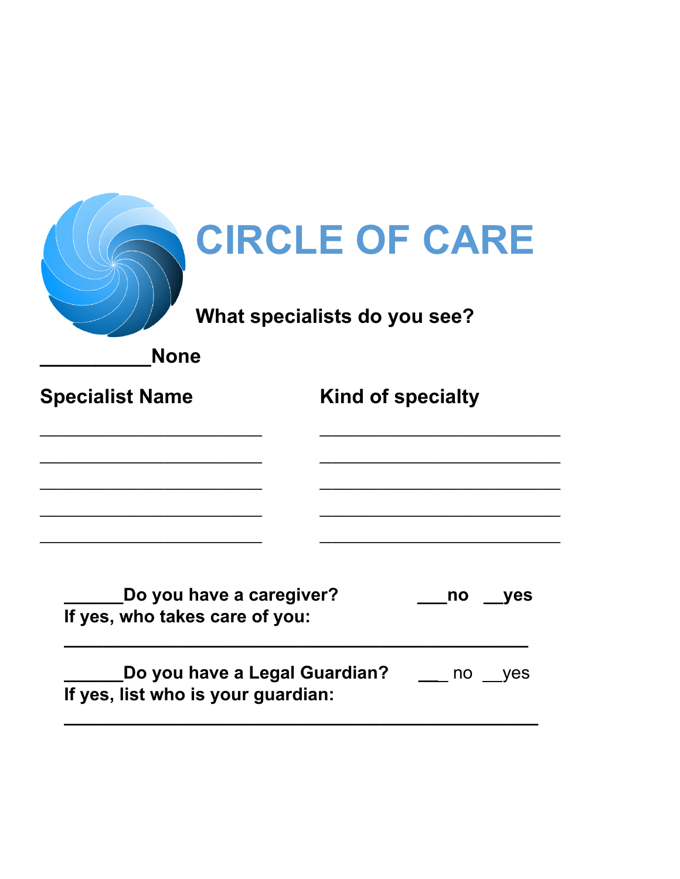| <b>CIRCLE OF CARE</b><br>What specialists do you see?<br><b>None</b> |                                                |  |  |
|----------------------------------------------------------------------|------------------------------------------------|--|--|
| <b>Specialist Name</b>                                               | Kind of specialty                              |  |  |
|                                                                      |                                                |  |  |
| Do you have a caregiver?<br>If yes, who takes care of you:           | no<br>yes                                      |  |  |
| If yes, list who is your guardian:                                   | <b>Do you have a Legal Guardian?</b> __ no yes |  |  |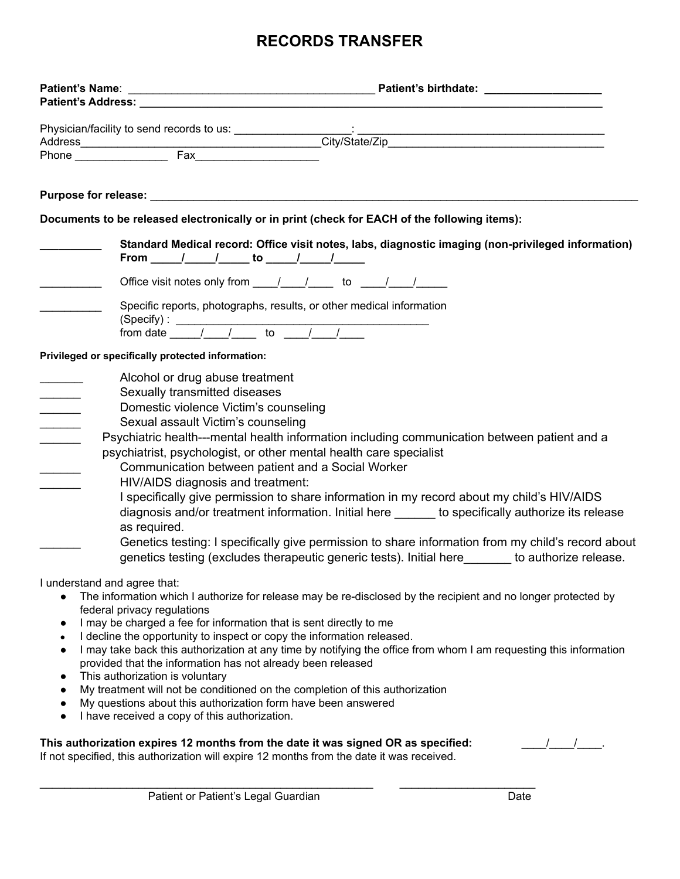#### **RECORDS TRANSFER**

|                                                                                                                         | Documents to be released electronically or in print (check for EACH of the following items):                                                                                                                                                                                                                                                                                                                                                                                                                                                                                                                                                                                                                                                                                                                                                |      |
|-------------------------------------------------------------------------------------------------------------------------|---------------------------------------------------------------------------------------------------------------------------------------------------------------------------------------------------------------------------------------------------------------------------------------------------------------------------------------------------------------------------------------------------------------------------------------------------------------------------------------------------------------------------------------------------------------------------------------------------------------------------------------------------------------------------------------------------------------------------------------------------------------------------------------------------------------------------------------------|------|
|                                                                                                                         | Standard Medical record: Office visit notes, labs, diagnostic imaging (non-privileged information)<br>From ______/__________ to ______/_______/________                                                                                                                                                                                                                                                                                                                                                                                                                                                                                                                                                                                                                                                                                     |      |
|                                                                                                                         | Office visit notes only from $\underline{\qquad \qquad}/\qquad \qquad}$ to $\underline{\qquad \qquad}/\qquad \qquad}/\qquad$                                                                                                                                                                                                                                                                                                                                                                                                                                                                                                                                                                                                                                                                                                                |      |
|                                                                                                                         | Specific reports, photographs, results, or other medical information<br>(Specify): $\frac{1}{1-\frac{1}{1-\frac{1}{1-\frac{1}{1-\frac{1}{1-\frac{1}{1-\frac{1}{1-\frac{1}{1-\frac{1}{1-\frac{1}{1-\frac{1}{1-\frac{1}{1-\frac{1}{1-\frac{1}{1-\frac{1}{1-\frac{1}{1-\frac{1}{1-\frac{1}{1-\frac{1}{1-\frac{1}{1-\frac{1}{1-\frac{1}{1-\frac{1}{1-\frac{1}{1-\frac{1}{1-\frac{1}{1-\frac{1}{1-\frac{1}{1-\frac{1}{1-\frac{1}{1-\frac{1}{1-\frac{1}{1-\frac{1}{1-\frac{1}{1-\frac{1}{$                                                                                                                                                                                                                                                                                                                                                        |      |
|                                                                                                                         | Privileged or specifically protected information:                                                                                                                                                                                                                                                                                                                                                                                                                                                                                                                                                                                                                                                                                                                                                                                           |      |
| $\mathcal{L}_{\text{max}}$<br>$\mathcal{L}$                                                                             | Alcohol or drug abuse treatment<br>Sexually transmitted diseases<br>Domestic violence Victim's counseling<br>Sexual assault Victim's counseling<br>Psychiatric health---mental health information including communication between patient and a<br>psychiatrist, psychologist, or other mental health care specialist<br>Communication between patient and a Social Worker<br>HIV/AIDS diagnosis and treatment:<br>I specifically give permission to share information in my record about my child's HIV/AIDS<br>diagnosis and/or treatment information. Initial here _____ to specifically authorize its release<br>as required.<br>Genetics testing: I specifically give permission to share information from my child's record about<br>genetics testing (excludes therapeutic generic tests). Initial here ______ to authorize release. |      |
| I understand and agree that:<br>$\bullet$<br>$\bullet$<br>$\bullet$<br>$\bullet$<br>$\bullet$<br>$\bullet$<br>$\bullet$ | The information which I authorize for release may be re-disclosed by the recipient and no longer protected by<br>federal privacy regulations<br>I may be charged a fee for information that is sent directly to me<br>I decline the opportunity to inspect or copy the information released.<br>I may take back this authorization at any time by notifying the office from whom I am requesting this information<br>provided that the information has not already been released<br>This authorization is voluntary<br>My treatment will not be conditioned on the completion of this authorization<br>My questions about this authorization form have been answered<br>I have received a copy of this authorization.                                                                                                                       |      |
|                                                                                                                         | This authorization expires 12 months from the date it was signed OR as specified:<br>If not specified, this authorization will expire 12 months from the date it was received.                                                                                                                                                                                                                                                                                                                                                                                                                                                                                                                                                                                                                                                              |      |
|                                                                                                                         | Patient or Patient's Legal Guardian                                                                                                                                                                                                                                                                                                                                                                                                                                                                                                                                                                                                                                                                                                                                                                                                         | Date |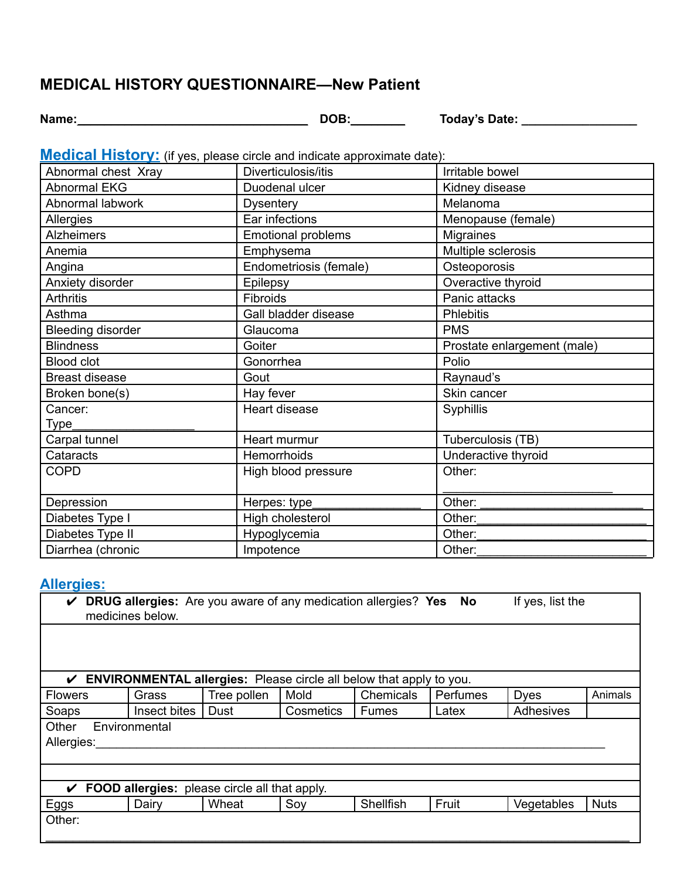#### **MEDICAL HISTORY QUESTIONNAIRE—New Patient**

**Name:**\_\_\_\_\_\_\_\_\_\_\_\_\_\_\_\_\_\_\_\_\_\_\_\_\_\_\_\_\_\_\_\_\_\_ **DOB:**\_\_\_\_\_\_\_\_ **Today's Date: \_\_\_\_\_\_\_\_\_\_\_\_\_\_\_\_\_**

**Medical History:** (if yes, please circle and indicate approximate date):

| Abnormal chest Xray      | Diverticulosis/itis       | Irritable bowel             |
|--------------------------|---------------------------|-----------------------------|
| <b>Abnormal EKG</b>      | Duodenal ulcer            | Kidney disease              |
| Abnormal labwork         | <b>Dysentery</b>          | Melanoma                    |
| Allergies                | Ear infections            | Menopause (female)          |
| <b>Alzheimers</b>        | <b>Emotional problems</b> | <b>Migraines</b>            |
| Anemia                   | Emphysema                 | Multiple sclerosis          |
| Angina                   | Endometriosis (female)    | Osteoporosis                |
| Anxiety disorder         | Epilepsy                  | Overactive thyroid          |
| <b>Arthritis</b>         | Fibroids                  | Panic attacks               |
| Asthma                   | Gall bladder disease      | <b>Phlebitis</b>            |
| <b>Bleeding disorder</b> | Glaucoma                  | <b>PMS</b>                  |
| <b>Blindness</b>         | Goiter                    | Prostate enlargement (male) |
| <b>Blood clot</b>        | Gonorrhea                 | Polio                       |
| <b>Breast disease</b>    | Gout                      | Raynaud's                   |
| Broken bone(s)           | Hay fever                 | Skin cancer                 |
| Cancer:                  | Heart disease             | Syphillis                   |
| Type                     |                           |                             |
| Carpal tunnel            | Heart murmur              | Tuberculosis (TB)           |
| Cataracts                | Hemorrhoids               | Underactive thyroid         |
| <b>COPD</b>              | High blood pressure       | Other:                      |
|                          |                           |                             |
| Depression               | Herpes: type              | Other:                      |
| Diabetes Type I          | High cholesterol          | Other:                      |
| Diabetes Type II         | Hypoglycemia              | Other:                      |
| Diarrhea (chronic        | Impotence                 | Other:                      |

#### **Allergies:**

| <b>DRUG allergies:</b> Are you aware of any medication allergies? Yes No<br>If yes, list the<br>V<br>medicines below. |               |                                                                            |           |              |          |             |             |
|-----------------------------------------------------------------------------------------------------------------------|---------------|----------------------------------------------------------------------------|-----------|--------------|----------|-------------|-------------|
|                                                                                                                       |               |                                                                            |           |              |          |             |             |
|                                                                                                                       |               |                                                                            |           |              |          |             |             |
| ✓                                                                                                                     |               | <b>ENVIRONMENTAL allergies:</b> Please circle all below that apply to you. |           |              |          |             |             |
| <b>Flowers</b>                                                                                                        | Grass         | Tree pollen                                                                | Mold      | Chemicals    | Perfumes | <b>Dyes</b> | Animals     |
| Soaps                                                                                                                 | Insect bites  | Dust                                                                       | Cosmetics | <b>Fumes</b> | Latex    | Adhesives   |             |
| Other                                                                                                                 | Environmental |                                                                            |           |              |          |             |             |
| Allergies:                                                                                                            |               |                                                                            |           |              |          |             |             |
|                                                                                                                       |               |                                                                            |           |              |          |             |             |
|                                                                                                                       |               |                                                                            |           |              |          |             |             |
| $\checkmark$ FOOD allergies: please circle all that apply.                                                            |               |                                                                            |           |              |          |             |             |
| <u>Eggs</u>                                                                                                           | Dairy         | Wheat                                                                      | Soy       | Shellfish    | Fruit    | Vegetables  | <b>Nuts</b> |
| Other:                                                                                                                |               |                                                                            |           |              |          |             |             |
|                                                                                                                       |               |                                                                            |           |              |          |             |             |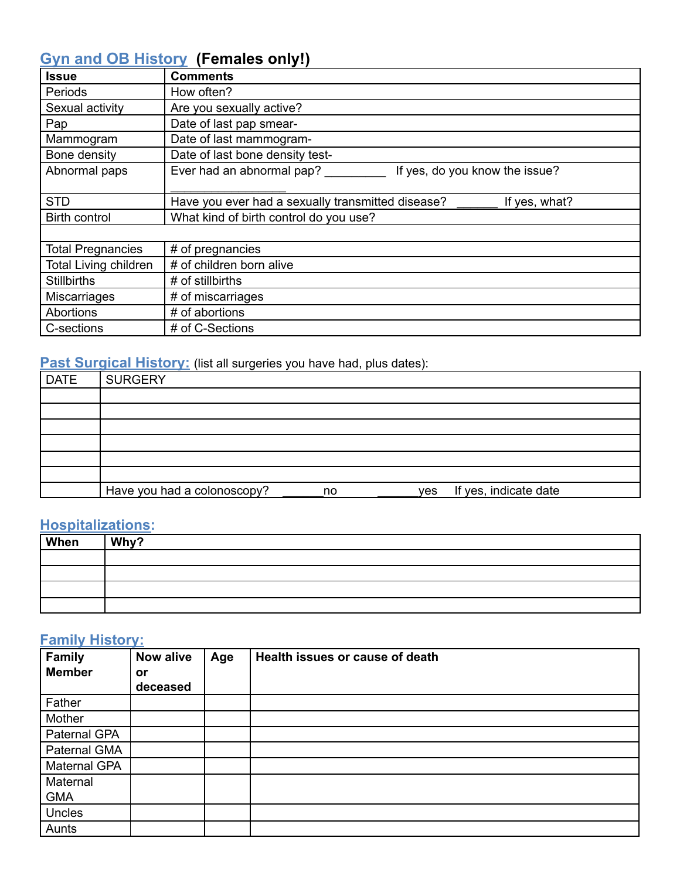#### **Gyn and OB History (Females only!)**

| <b>Issue</b>                 | <b>Comments</b>                                                    |
|------------------------------|--------------------------------------------------------------------|
| Periods                      | How often?                                                         |
| Sexual activity              | Are you sexually active?                                           |
| Pap                          | Date of last pap smear-                                            |
| Mammogram                    | Date of last mammogram-                                            |
| Bone density                 | Date of last bone density test-                                    |
| Abnormal paps                | Ever had an abnormal pap?<br>If yes, do you know the issue?        |
|                              |                                                                    |
| <b>STD</b>                   | Have you ever had a sexually transmitted disease?<br>If yes, what? |
| <b>Birth control</b>         | What kind of birth control do you use?                             |
|                              |                                                                    |
| <b>Total Pregnancies</b>     | # of pregnancies                                                   |
| <b>Total Living children</b> | # of children born alive                                           |
| <b>Stillbirths</b>           | # of stillbirths                                                   |
| <b>Miscarriages</b>          | # of miscarriages                                                  |
| Abortions                    | # of abortions                                                     |
| C-sections                   | # of C-Sections                                                    |

#### **Past Surgical History:** (list all surgeries you have had, plus dates):

| <b>DATE</b> | $\cdot$ .<br><b>SURGERY</b>       |                              |
|-------------|-----------------------------------|------------------------------|
|             |                                   |                              |
|             |                                   |                              |
|             |                                   |                              |
|             |                                   |                              |
|             |                                   |                              |
|             |                                   |                              |
|             | Have you had a colonoscopy?<br>no | If yes, indicate date<br>yes |

#### **Hospitalizations:**

| When | Why? |
|------|------|
|      |      |
|      |      |
|      |      |
|      |      |

#### **Family History:**

| <b>Family</b><br><b>Member</b> | <b>Now alive</b><br>or<br>deceased | Age | Health issues or cause of death |
|--------------------------------|------------------------------------|-----|---------------------------------|
| Father                         |                                    |     |                                 |
| Mother                         |                                    |     |                                 |
| Paternal GPA                   |                                    |     |                                 |
| Paternal GMA                   |                                    |     |                                 |
| Maternal GPA                   |                                    |     |                                 |
| Maternal                       |                                    |     |                                 |
| <b>GMA</b>                     |                                    |     |                                 |
| Uncles                         |                                    |     |                                 |
| Aunts                          |                                    |     |                                 |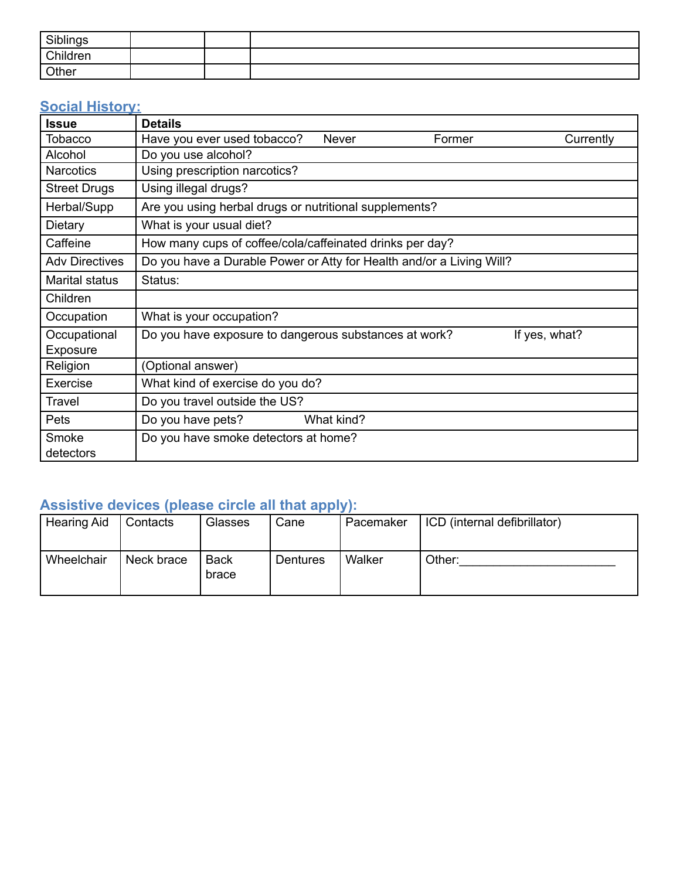| Siblings<br><b>JIDIII IYƏ</b> |  |  |
|-------------------------------|--|--|
| Children                      |  |  |
| Other                         |  |  |

#### **Social History:**

| <b>Issue</b>          | <b>Details</b>                                                         |  |  |  |  |  |  |  |
|-----------------------|------------------------------------------------------------------------|--|--|--|--|--|--|--|
| Tobacco               | Have you ever used tobacco?<br><b>Never</b><br>Currently<br>Former     |  |  |  |  |  |  |  |
| Alcohol               | Do you use alcohol?                                                    |  |  |  |  |  |  |  |
| <b>Narcotics</b>      | Using prescription narcotics?                                          |  |  |  |  |  |  |  |
| <b>Street Drugs</b>   | Using illegal drugs?                                                   |  |  |  |  |  |  |  |
| Herbal/Supp           | Are you using herbal drugs or nutritional supplements?                 |  |  |  |  |  |  |  |
| Dietary               | What is your usual diet?                                               |  |  |  |  |  |  |  |
| Caffeine              | How many cups of coffee/cola/caffeinated drinks per day?               |  |  |  |  |  |  |  |
| <b>Adv Directives</b> | Do you have a Durable Power or Atty for Health and/or a Living Will?   |  |  |  |  |  |  |  |
| Marital status        | Status:                                                                |  |  |  |  |  |  |  |
| Children              |                                                                        |  |  |  |  |  |  |  |
| Occupation            | What is your occupation?                                               |  |  |  |  |  |  |  |
| Occupational          | Do you have exposure to dangerous substances at work?<br>If yes, what? |  |  |  |  |  |  |  |
| Exposure              |                                                                        |  |  |  |  |  |  |  |
| Religion              | (Optional answer)                                                      |  |  |  |  |  |  |  |
| Exercise              | What kind of exercise do you do?                                       |  |  |  |  |  |  |  |
| <b>Travel</b>         | Do you travel outside the US?                                          |  |  |  |  |  |  |  |
| Pets                  | Do you have pets?<br>What kind?                                        |  |  |  |  |  |  |  |
| Smoke<br>detectors    | Do you have smoke detectors at home?                                   |  |  |  |  |  |  |  |

#### **Assistive devices (please circle all that apply):**

| <b>Hearing Aid</b> | Contacts   | <b>Glasses</b>       | Cane     | Pacemaker | ICD (internal defibrillator) |
|--------------------|------------|----------------------|----------|-----------|------------------------------|
| Wheelchair         | Neck brace | <b>Back</b><br>brace | Dentures | Walker    | Other:                       |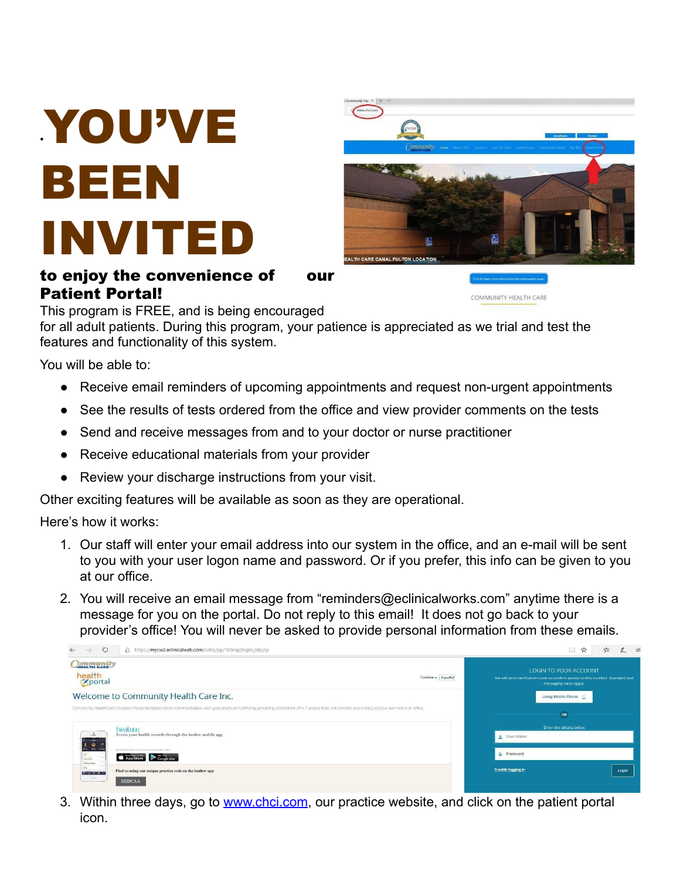# •YOU'VE BEEN INVITED

#### to enjoy the convenience of our Patient Portal!



COMMUNITY HEALTH CARE

This program is FREE, and is being encouraged

for all adult patients. During this program, your patience is appreciated as we trial and test the features and functionality of this system.

You will be able to:

- Receive email reminders of upcoming appointments and request non-urgent appointments
- See the results of tests ordered from the office and view provider comments on the tests
- Send and receive messages from and to your doctor or nurse practitioner
- Receive educational materials from your provider
- Review your discharge instructions from your visit.

Other exciting features will be available as soon as they are operational.

Here's how it works:

- 1. Our staff will enter your email address into our system in the office, and an e-mail will be sent to you with your user logon name and password. Or if you prefer, this info can be given to you at our office.
- 2. You will receive an email message from "reminders@eclinicalworks.com" anytime there is a message for you on the portal. Do not reply to this email! It does not go back to your provider's office! You will never be asked to provide personal information from these emails.

| $\circ$<br>A https://mycw2.eclinicalweb.com/cohc/jsp/100mp/login_otp.jsp<br>$\rightarrow$                                                                                          |                                                                                                                                                                                                    |                    |                                                                                                                                   | $\Box$<br>$\vec{x}$<br>≴≒ |  |
|------------------------------------------------------------------------------------------------------------------------------------------------------------------------------------|----------------------------------------------------------------------------------------------------------------------------------------------------------------------------------------------------|--------------------|-----------------------------------------------------------------------------------------------------------------------------------|---------------------------|--|
| ommunity<br>health<br>Kaportal                                                                                                                                                     |                                                                                                                                                                                                    | Cambiar a Español  | LOGIN TO YOUR ACCOUNT<br>We will send verification code to confirm access to this number. Standard text<br>messaging rates apply. |                           |  |
| Welcome to Community Health Care Inc.                                                                                                                                              |                                                                                                                                                                                                    | Using Mobile Phone |                                                                                                                                   |                           |  |
|                                                                                                                                                                                    | Community HealthCare's Support Portal facilitates better communication with your physician's office by providing convenient 24 x 7 access from the comfort and privacy of your own home or office. |                    | OR                                                                                                                                |                           |  |
| heatow                                                                                                                                                                             |                                                                                                                                                                                                    |                    | Enter the details below                                                                                                           |                           |  |
| $\frac{1}{2}$<br>Access your health records through the healow mobile app<br>$\bullet$                                                                                             |                                                                                                                                                                                                    |                    | User Name                                                                                                                         |                           |  |
| <b>Selection</b><br><b>Mineral American International</b><br>DOWNEOAD THE FREE HEALOW APP<br>$\overline{a}$<br>App Store Coogle play<br><b>Warrior</b><br><b>Ni Bush and Mayle</b> |                                                                                                                                                                                                    |                    | <b>G</b> Password                                                                                                                 |                           |  |
| Arre.<br>Find us using our unique practice code on the healow app<br>$2700 -$                                                                                                      |                                                                                                                                                                                                    |                    | Trouble logging in                                                                                                                | Login                     |  |
| <b>CONTROL</b><br><b>HEDCAA</b>                                                                                                                                                    |                                                                                                                                                                                                    |                    |                                                                                                                                   |                           |  |

3. Within three days, go to [www.chci.com](http://www.chci.com/), our practice website, and click on the patient portal icon.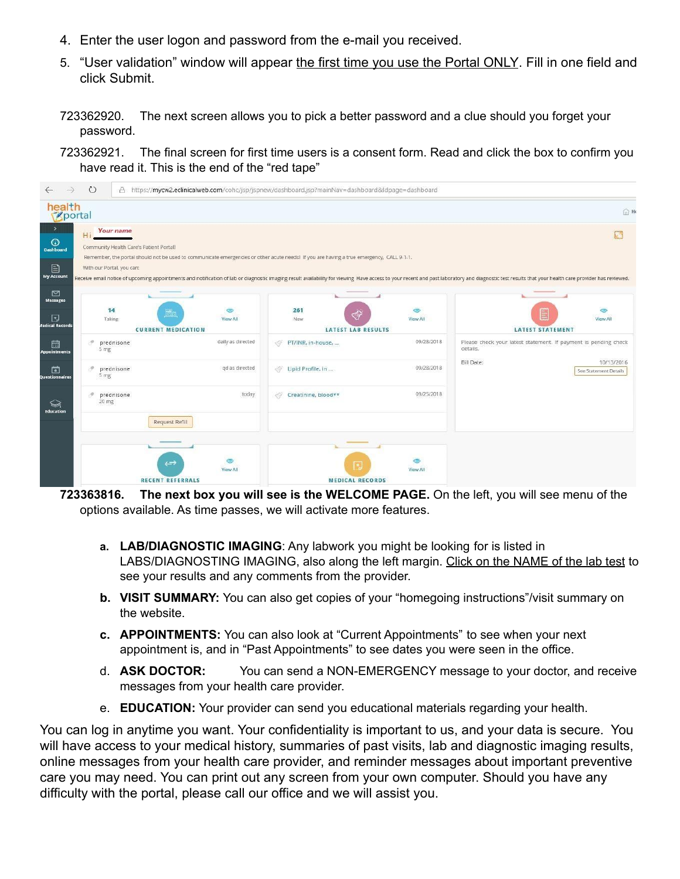- 4. Enter the user logon and password from the e-mail you received.
- 5. "User validation" window will appear the first time you use the Portal ONLY. Fill in one field and click Submit.
- 723362920. The next screen allows you to pick a better password and a clue should you forget your password.
- 723362921. The final screen for first time users is a consent form. Read and click the box to confirm you have read it. This is the end of the "red tape"



**723363816. The next box you will see is the WELCOME PAGE.** On the left, you will see menu of the options available. As time passes, we will activate more features.

- **a. LAB/DIAGNOSTIC IMAGING**: Any labwork you might be looking for is listed in LABS/DIAGNOSTING IMAGING, also along the left margin. Click on the NAME of the lab test to see your results and any comments from the provider.
- **b. VISIT SUMMARY:** You can also get copies of your "homegoing instructions"/visit summary on the website.
- **c. APPOINTMENTS:** You can also look at "Current Appointments" to see when your next appointment is, and in "Past Appointments" to see dates you were seen in the office.
- d. **ASK DOCTOR:** You can send a NON-EMERGENCY message to your doctor, and receive messages from your health care provider.
- e. **EDUCATION:** Your provider can send you educational materials regarding your health.

You can log in anytime you want. Your confidentiality is important to us, and your data is secure. You will have access to your medical history, summaries of past visits, lab and diagnostic imaging results, online messages from your health care provider, and reminder messages about important preventive care you may need. You can print out any screen from your own computer. Should you have any difficulty with the portal, please call our office and we will assist you.